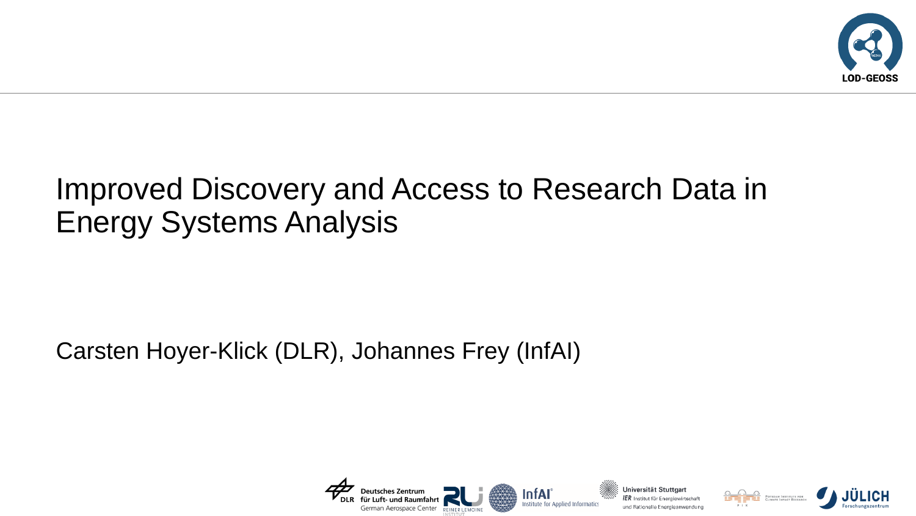

## Improved Discovery and Access to Research Data in Energy Systems Analysis

## Carsten Hoyer-Klick (DLR), Johannes Frey (InfAI)





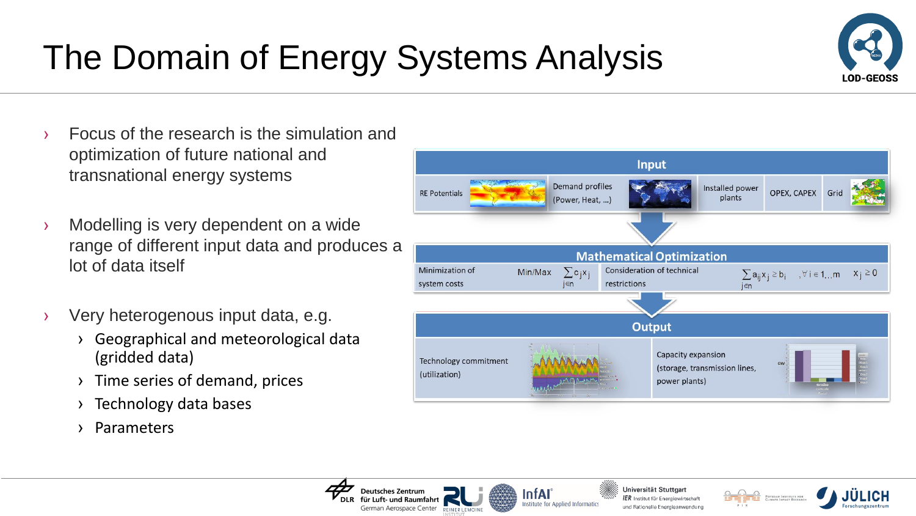# The Domain of Energy Systems Analysis

**Deutsches Zentrum** 

r Luft- und Raumfahrt

German Aerospace Center REINER LEMOIN



- › Modelling is very dependent on a wide range of different input data and produces a lot of data itself
- › Very heterogenous input data, e.g.
	- › Geographical and meteorological data (gridded data)
	- › Time series of demand, prices
	- › Technology data bases
	- › Parameters





InfAl



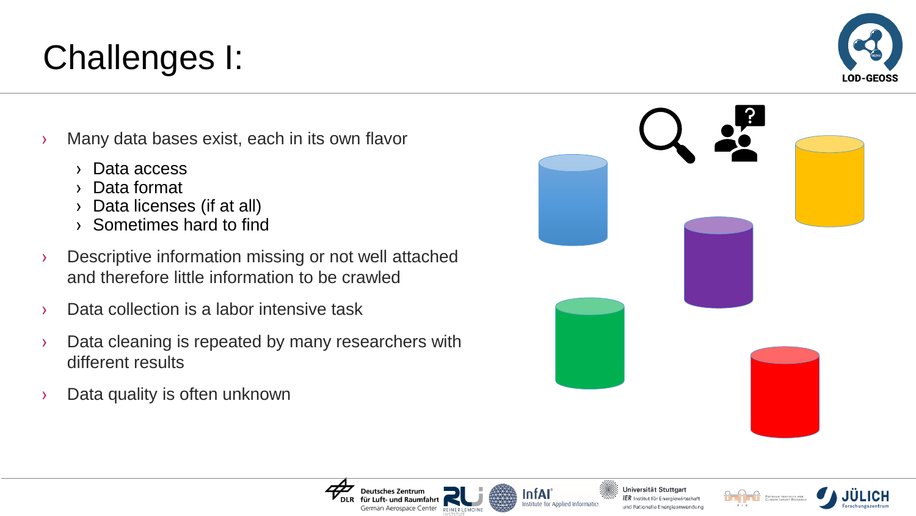- › Many data bases exist, each in its own flavor
	- › Data access

Challenges I:

- › Data format
- › Data licenses (if at all)
- › Sometimes hard to find
- › Descriptive information missing or not well attached and therefore little information to be crawled
- › Data collection is a labor intensive task
- › Data cleaning is repeated by many researchers with different results

**Deutsches Zentrum** 

German Aerospace Center REINER LEMOIN

› Data quality is often unknown







InfAl





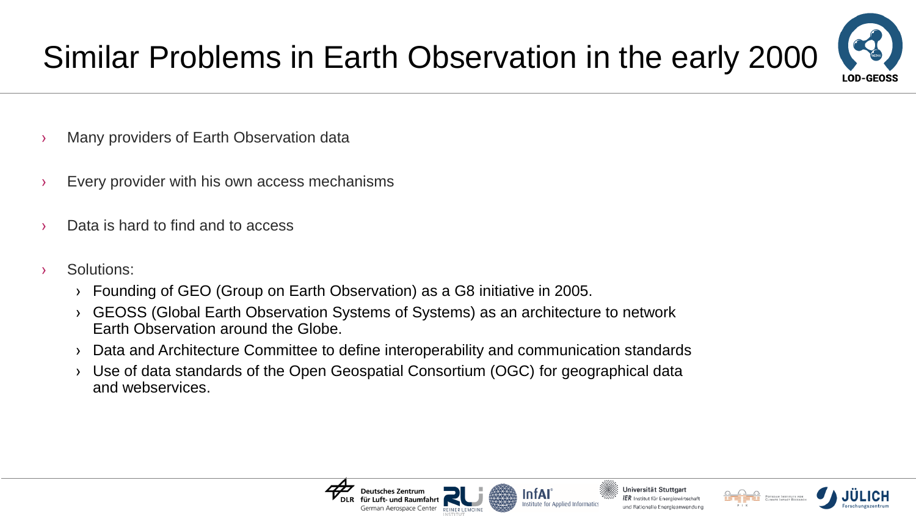

- › Many providers of Earth Observation data
- › Every provider with his own access mechanisms
- › Data is hard to find and to access
- › Solutions:
	- › Founding of GEO (Group on Earth Observation) as a G8 initiative in 2005.
	- › GEOSS (Global Earth Observation Systems of Systems) as an architecture to network Earth Observation around the Globe.
	- › Data and Architecture Committee to define interoperability and communication standards
	- › Use of data standards of the Open Geospatial Consortium (OGC) for geographical data and webservices.





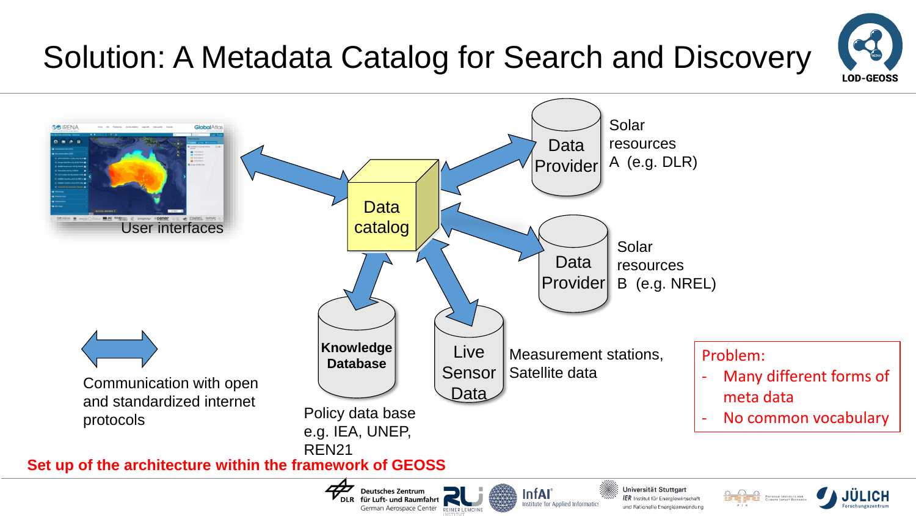# Solution: A Metadata Catalog for Search and Discovery





German Aerospace Center REINER LEMOINE

und Rationelle Energieanwendung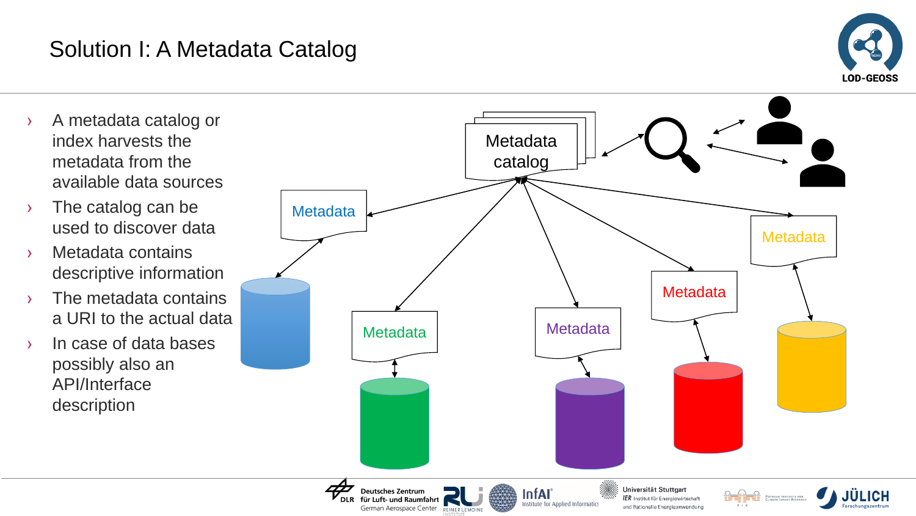## Solution I: A Metadata Catalog



- › A metadata catalog or index harvests the metadata from the available data sources
- › The catalog can be used to discover data
- › Metadata contains descriptive information
- › The metadata contains a URI to the actual data
- › In case of data bases possibly also an API/Interface description

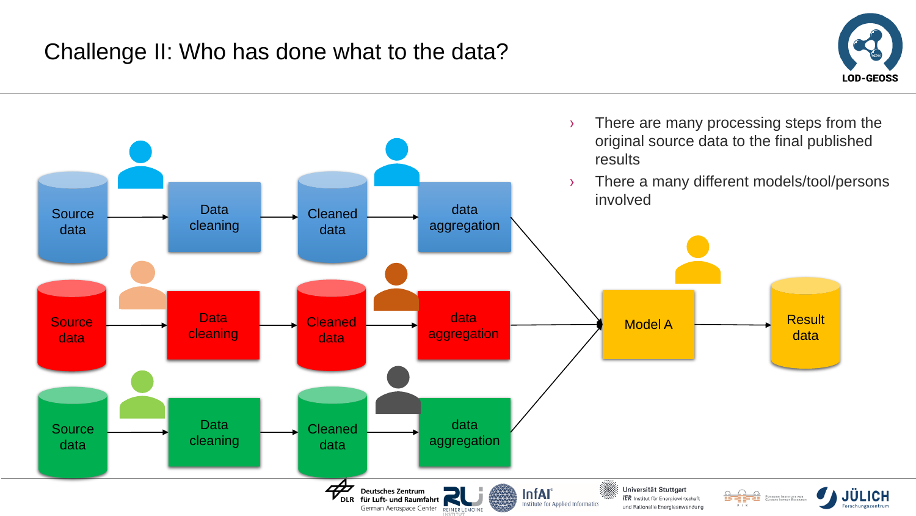

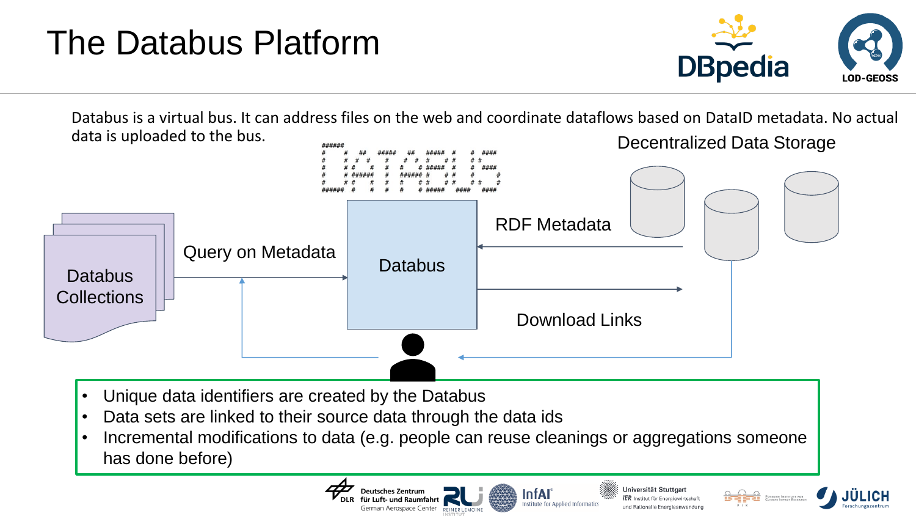# The Databus Platform



Databus is a virtual bus. It can address files on the web and coordinate dataflows based on DataID metadata. No actual data is uploaded to the bus. Decentralized Data Storage



- Unique data identifiers are created by the Databus
- Data sets are linked to their source data through the data ids
- Incremental modifications to data (e.g. people can reuse cleanings or aggregations someone has done before)

Deutsches Zentrum

t- und Raumfahrt

nan Aerospace Center REINER LEMOL

Universität Stuttgart InfAl  ${\it IER}$  Institut für Energiewirtscha und Bationelle Energieanwendung



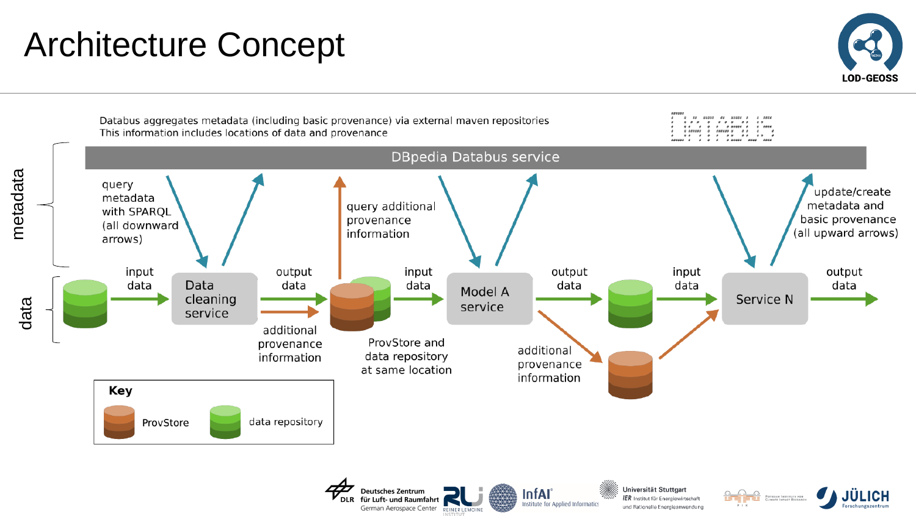## Architecture Concept



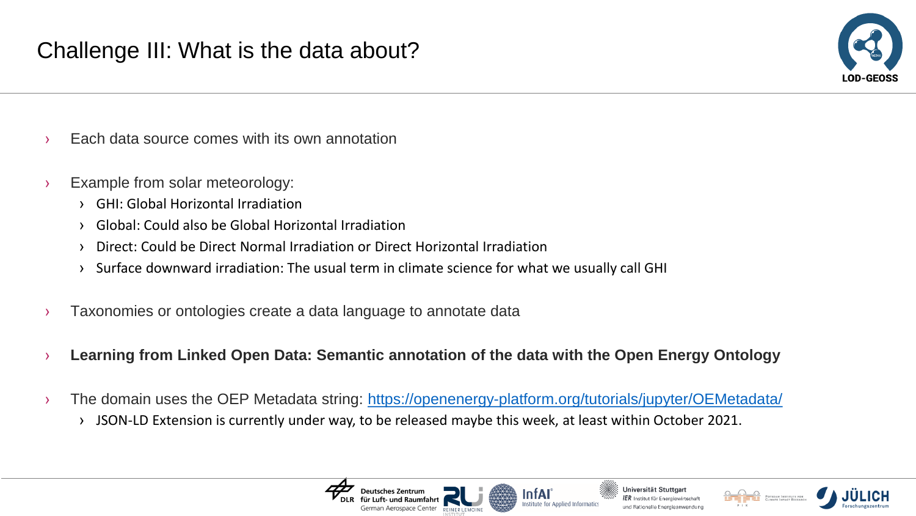

- Each data source comes with its own annotation
- › Example from solar meteorology:
	- › GHI: Global Horizontal Irradiation
	- › Global: Could also be Global Horizontal Irradiation
	- › Direct: Could be Direct Normal Irradiation or Direct Horizontal Irradiation
	- › Surface downward irradiation: The usual term in climate science for what we usually call GHI
- Taxonomies or ontologies create a data language to annotate data
- › **Learning from Linked Open Data: Semantic annotation of the data with the Open Energy Ontology**
- > The domain uses the OEP Metadata string:<https://openenergy-platform.org/tutorials/jupyter/OEMetadata/>
	- › JSON-LD Extension is currently under way, to be released maybe this week, at least within October 2021.





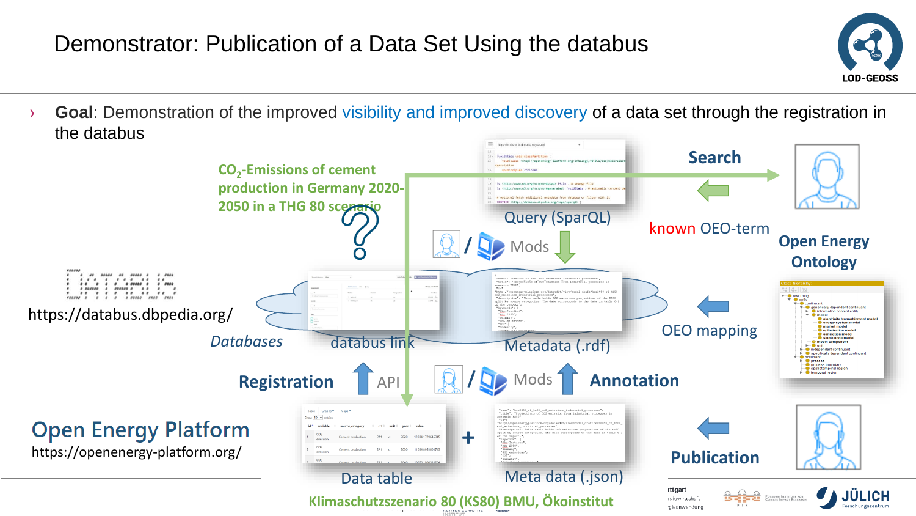#### Demonstrator: Publication of a Data Set Using the databus



› **Goal**: Demonstration of the improved visibility and improved discovery of a data set through the registration in the databus

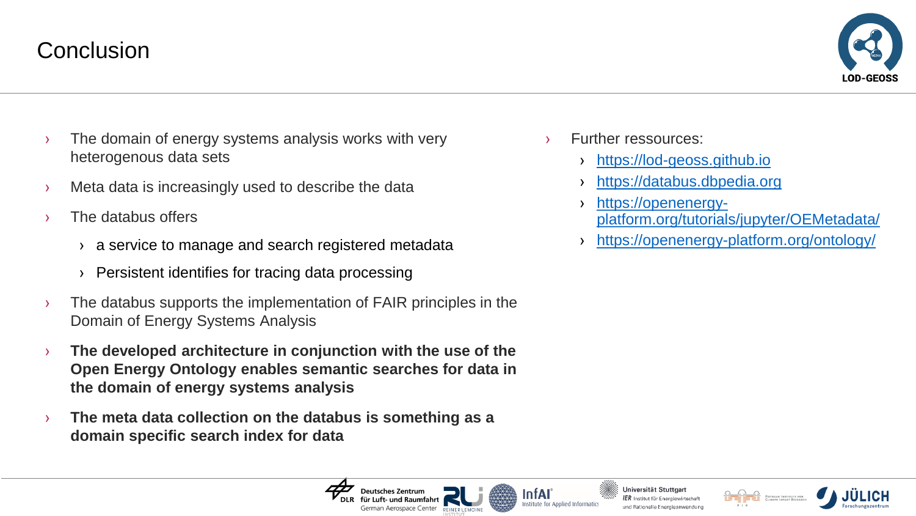#### **Conclusion**



- › The domain of energy systems analysis works with very heterogenous data sets
- Meta data is increasingly used to describe the data
- The databus offers
	- › a service to manage and search registered metadata
	- › Persistent identifies for tracing data processing
- $\rightarrow$  The databus supports the implementation of FAIR principles in the Domain of Energy Systems Analysis
- › **The developed architecture in conjunction with the use of the Open Energy Ontology enables semantic searches for data in the domain of energy systems analysis**
- › **The meta data collection on the databus is something as a domain specific search index for data**
- **Further ressources:** 
	- [https://lod-geoss.github.io](https://lod-geoss.github.io/)
	- [https://databus.dbpedia.org](https://databus.dbpedia.org/)
	- › https://openenergy[platform.org/tutorials/jupyter/OEMetadata/](https://openenergy-platform.org/tutorials/jupyter/OEMetadata/)
	- › [https://openenergy-platform.org/ontology/](https://openenergy-platform.org/tutorials/jupyter/OEMetadata/)